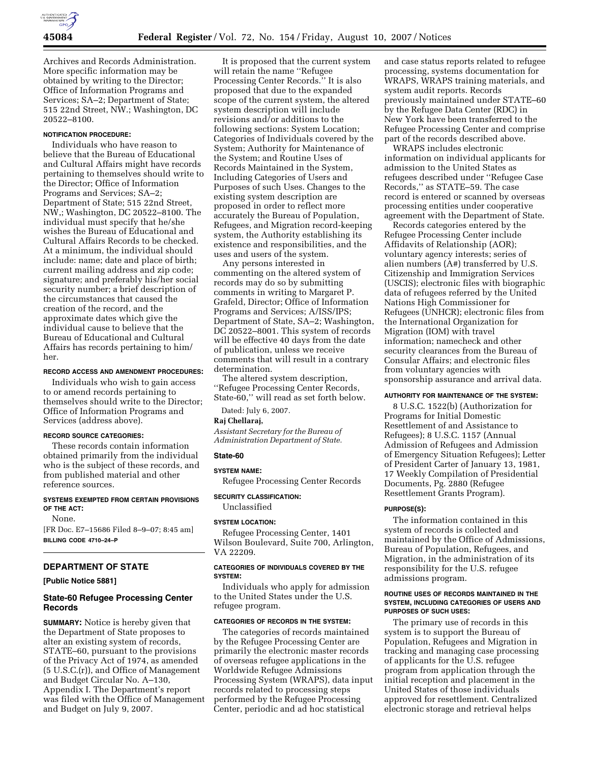

Archives and Records Administration. More specific information may be obtained by writing to the Director; Office of Information Programs and Services; SA–2; Department of State; 515 22nd Street, NW.; Washington, DC 20522–8100.

## **NOTIFICATION PROCEDURE:**

Individuals who have reason to believe that the Bureau of Educational and Cultural Affairs might have records pertaining to themselves should write to the Director; Office of Information Programs and Services; SA–2; Department of State; 515 22nd Street, NW,; Washington, DC 20522–8100. The individual must specify that he/she wishes the Bureau of Educational and Cultural Affairs Records to be checked. At a minimum, the individual should include: name; date and place of birth; current mailing address and zip code; signature; and preferably his/her social security number; a brief description of the circumstances that caused the creation of the record, and the approximate dates which give the individual cause to believe that the Bureau of Educational and Cultural Affairs has records pertaining to him/ her.

### **RECORD ACCESS AND AMENDMENT PROCEDURES:**

Individuals who wish to gain access to or amend records pertaining to themselves should write to the Director; Office of Information Programs and Services (address above).

#### **RECORD SOURCE CATEGORIES:**

These records contain information obtained primarily from the individual who is the subject of these records, and from published material and other reference sources.

#### **SYSTEMS EXEMPTED FROM CERTAIN PROVISIONS OF THE ACT:**

None.

[FR Doc. E7–15686 Filed 8–9–07; 8:45 am] **BILLING CODE 4710–24–P** 

# **DEPARTMENT OF STATE**

**[Public Notice 5881]** 

# **State-60 Refugee Processing Center Records**

**SUMMARY:** Notice is hereby given that the Department of State proposes to alter an existing system of records, STATE–60, pursuant to the provisions of the Privacy Act of 1974, as amended (5 U.S.C.(r)), and Office of Management and Budget Circular No. A–130, Appendix I. The Department's report was filed with the Office of Management and Budget on July 9, 2007.

It is proposed that the current system will retain the name ''Refugee Processing Center Records.'' It is also proposed that due to the expanded scope of the current system, the altered system description will include revisions and/or additions to the following sections: System Location; Categories of Individuals covered by the System; Authority for Maintenance of the System; and Routine Uses of Records Maintained in the System, Including Categories of Users and Purposes of such Uses. Changes to the existing system description are proposed in order to reflect more accurately the Bureau of Population, Refugees, and Migration record-keeping system, the Authority establishing its existence and responsibilities, and the uses and users of the system.

Any persons interested in commenting on the altered system of records may do so by submitting comments in writing to Margaret P. Grafeld, Director; Office of Information Programs and Services; A/ISS/IPS; Department of State, SA–2; Washington, DC 20522–8001. This system of records will be effective 40 days from the date of publication, unless we receive comments that will result in a contrary determination.

The altered system description, ''Refugee Processing Center Records, State-60,'' will read as set forth below.

Dated: July 6, 2007.

#### **Raj Chellaraj,**

*Assistant Secretary for the Bureau of Administration Department of State.* 

### **State-60**

### **SYSTEM NAME:**

Refugee Processing Center Records

### **SECURITY CLASSIFICATION:**

Unclassified

### **SYSTEM LOCATION:**

Refugee Processing Center, 1401 Wilson Boulevard, Suite 700, Arlington, VA 22209.

# **CATEGORIES OF INDIVIDUALS COVERED BY THE SYSTEM:**

Individuals who apply for admission to the United States under the U.S. refugee program.

#### **CATEGORIES OF RECORDS IN THE SYSTEM:**

The categories of records maintained by the Refugee Processing Center are primarily the electronic master records of overseas refugee applications in the Worldwide Refugee Admissions Processing System (WRAPS), data input records related to processing steps performed by the Refugee Processing Center, periodic and ad hoc statistical

and case status reports related to refugee processing, systems documentation for WRAPS, WRAPS training materials, and system audit reports. Records previously maintained under STATE–60 by the Refugee Data Center (RDC) in New York have been transferred to the Refugee Processing Center and comprise part of the records described above.

WRAPS includes electronic information on individual applicants for admission to the United States as refugees described under ''Refugee Case Records,'' as STATE–59. The case record is entered or scanned by overseas processing entities under cooperative agreement with the Department of State.

Records categories entered by the Refugee Processing Center include Affidavits of Relationship (AOR); voluntary agency interests; series of alien numbers (A#) transferred by U.S. Citizenship and Immigration Services (USCIS); electronic files with biographic data of refugees referred by the United Nations High Commissioner for Refugees (UNHCR); electronic files from the International Organization for Migration (IOM) with travel information; namecheck and other security clearances from the Bureau of Consular Affairs; and electronic files from voluntary agencies with sponsorship assurance and arrival data.

### **AUTHORITY FOR MAINTENANCE OF THE SYSTEM:**

8 U.S.C. 1522(b) (Authorization for Programs for Initial Domestic Resettlement of and Assistance to Refugees); 8 U.S.C. 1157 (Annual Admission of Refugees and Admission of Emergency Situation Refugees); Letter of President Carter of January 13, 1981, 17 Weekly Compilation of Presidential Documents, Pg. 2880 (Refugee Resettlement Grants Program).

### **PURPOSE(S):**

The information contained in this system of records is collected and maintained by the Office of Admissions, Bureau of Population, Refugees, and Migration, in the administration of its responsibility for the U.S. refugee admissions program.

#### **ROUTINE USES OF RECORDS MAINTAINED IN THE SYSTEM, INCLUDING CATEGORIES OF USERS AND PURPOSES OF SUCH USES:**

The primary use of records in this system is to support the Bureau of Population, Refugees and Migration in tracking and managing case processing of applicants for the U.S. refugee program from application through the initial reception and placement in the United States of those individuals approved for resettlement. Centralized electronic storage and retrieval helps